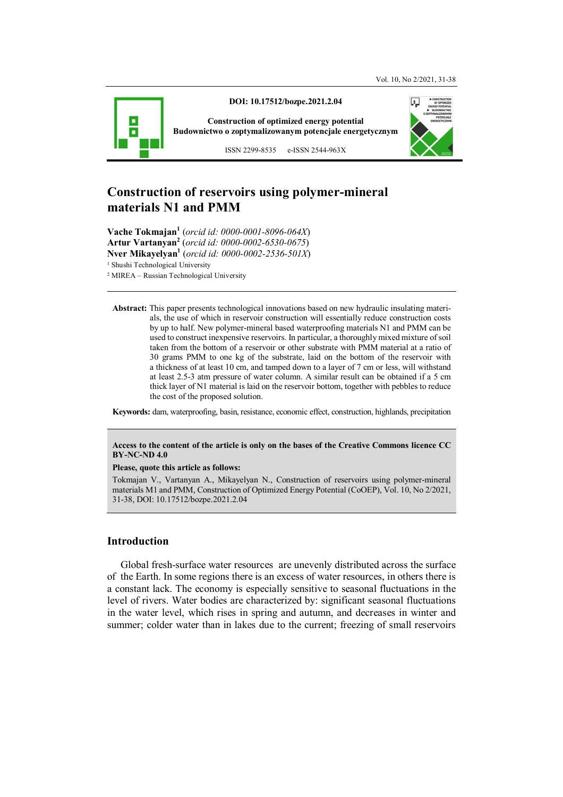

**DOI: 10.17512/bozpe.2021.2.04** 

**Construction of optimized energy potential Budownictwo o zoptymalizowanym potencjale energetycznym**

ISSN 2299-8535 e-ISSN 2544-963X

# **Construction of reservoirs using polymer-mineral materials N1 and PMM**

**Vache Tokmajan<sup>1</sup>** (*orcid id: 0000-0001-8096-064X*) **Artur Vartanyan<sup>2</sup>** (*orcid id: 0000-0002-6530-0675*) **Nver Mikayelyan<sup>1</sup>** (*orcid id: 0000-0002-2536-501X*) <sup>1</sup> Shushi Technological University 2 MIREA – Russian Technological University

**Abstract:** This paper presents technological innovations based on new hydraulic insulating materials, the use of which in reservoir construction will essentially reduce construction costs by up to half. New polymer-mineral based waterproofing materials N1 and PMM can be used to construct inexpensive reservoirs. In particular, a thoroughly mixed mixture of soil taken from the bottom of a reservoir or other substrate with PMM material at a ratio of 30 grams PMM to one kg of the substrate, laid on the bottom of the reservoir with a thickness of at least 10 cm, and tamped down to a layer of 7 cm or less, will withstand at least 2.5-3 atm pressure of water column. A similar result can be obtained if a 5 cm thick layer of N1 material is laid on the reservoir bottom, together with pebbles to reduce the cost of the proposed solution.

**Keywords:** dam, waterproofing, basin, resistance, economic effect, construction, highlands, precipitation

#### **Access to the content of the article is only on the bases of the Creative Commons licence CC BY-NC-ND 4.0**

#### **Please, quote this article as follows:**

Tokmajan V., Vartanyan A., Mikayelyan N., Construction of reservoirs using polymer-mineral materials M1 and PMM, Construction of Optimized Energy Potential (CoOEP), Vol. 10, No 2/2021, 31-38, DOI: 10.17512/bozpe.2021.2.04

## **Introduction**

Global fresh-surface water resources are unevenly distributed across the surface of the Earth. In some regions there is an excess of water resources, in others there is a constant lack. The economy is especially sensitive to seasonal fluctuations in the level of rivers. Water bodies are characterized by: significant seasonal fluctuations in the water level, which rises in spring and autumn, and decreases in winter and summer; colder water than in lakes due to the current; freezing of small reservoirs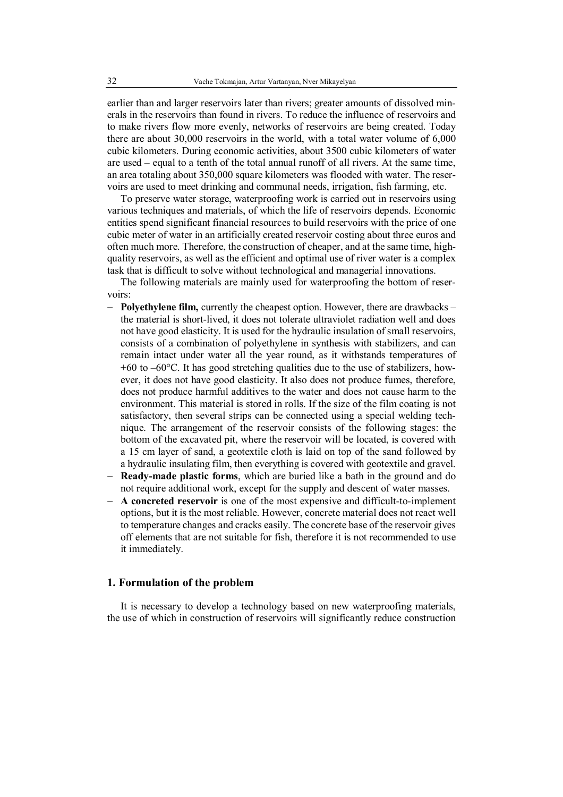earlier than and larger reservoirs later than rivers; greater amounts of dissolved minerals in the reservoirs than found in rivers. To reduce the influence of reservoirs and to make rivers flow more evenly, networks of reservoirs are being created. Today there are about 30,000 reservoirs in the world, with a total water volume of 6,000 cubic kilometers. During economic activities, about 3500 cubic kilometers of water are used – equal to a tenth of the total annual runoff of all rivers. At the same time, an area totaling about 350,000 square kilometers was flooded with water. The reservoirs are used to meet drinking and communal needs, irrigation, fish farming, etc.

To preserve water storage, waterproofing work is carried out in reservoirs using various techniques and materials, of which the life of reservoirs depends. Economic entities spend significant financial resources to build reservoirs with the price of one cubic meter of water in an artificially created reservoir costing about three euros and often much more. Therefore, the construction of cheaper, and at the same time, highquality reservoirs, as well as the efficient and optimal use of river water is a complex task that is difficult to solve without technological and managerial innovations.

The following materials are mainly used for waterproofing the bottom of reservoirs:

- **Polyethylene film,** currently the cheapest option. However, there are drawbacks the material is short-lived, it does not tolerate ultraviolet radiation well and does not have good elasticity. It is used for the hydraulic insulation of small reservoirs, consists of a combination of polyethylene in synthesis with stabilizers, and can remain intact under water all the year round, as it withstands temperatures of  $+60$  to  $-60$ °C. It has good stretching qualities due to the use of stabilizers, however, it does not have good elasticity. It also does not produce fumes, therefore, does not produce harmful additives to the water and does not cause harm to the environment. This material is stored in rolls. If the size of the film coating is not satisfactory, then several strips can be connected using a special welding technique. The arrangement of the reservoir consists of the following stages: the bottom of the excavated pit, where the reservoir will be located, is covered with a 15 cm layer of sand, a geotextile cloth is laid on top of the sand followed by a hydraulic insulating film, then everything is covered with geotextile and gravel.
- **Ready-made plastic forms**, which are buried like a bath in the ground and do not require additional work, except for the supply and descent of water masses.
- **A concreted reservoir** is one of the most expensive and difficult-to-implement options, but it is the most reliable. However, concrete material does not react well to temperature changes and cracks easily. The concrete base of the reservoir gives off elements that are not suitable for fish, therefore it is not recommended to use it immediately.

#### **1. Formulation of the problem**

It is necessary to develop a technology based on new waterproofing materials, the use of which in construction of reservoirs will significantly reduce construction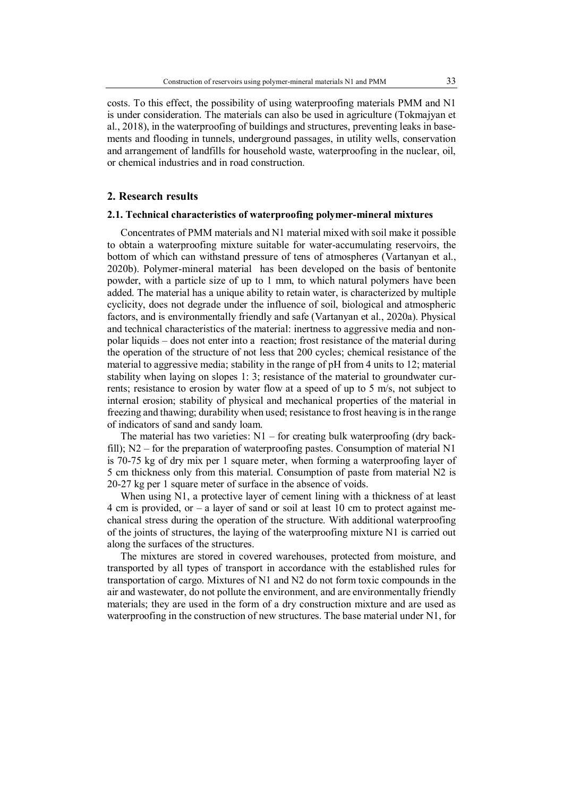ments and flooding in tunnels, underground passages, in utility wells, conservation and arrangement of landfills for household waste, waterproofing in the nuclear, oil, or chemical industries and in road construction.

#### **2. Research results**

#### **2.1. Technical characteristics of waterproofing polymer-mineral mixtures**

Concentrates of PMM materials and N1 material mixed with soil make it possible to obtain a waterproofing mixture suitable for water-accumulating reservoirs, the bottom of which can withstand pressure of tens of atmospheres (Vartanyan et al., 2020b). Polymer-mineral material has been developed on the basis of bentonite powder, with a particle size of up to 1 mm, to which natural polymers have been added. The material has a unique ability to retain water, is characterized by multiple cyclicity, does not degrade under the influence of soil, biological and atmospheric factors, and is environmentally friendly and safe (Vartanyan et al., 2020a). Physical and technical characteristics of the material: inertness to aggressive media and nonpolar liquids – does not enter into a reaction; frost resistance of the material during the operation of the structure of not less that 200 cycles; chemical resistance of the material to aggressive media; stability in the range of pH from 4 units to 12; material stability when laying on slopes 1: 3; resistance of the material to groundwater currents; resistance to erosion by water flow at a speed of up to 5 m/s, not subject to internal erosion; stability of physical and mechanical properties of the material in freezing and thawing; durability when used; resistance to frost heaving is in the range of indicators of sand and sandy loam.

The material has two varieties:  $N1$  – for creating bulk waterproofing (dry backfill); N2 – for the preparation of waterproofing pastes. Consumption of material N1 is 70-75 kg of dry mix per 1 square meter, when forming a waterproofing layer of 5 cm thickness only from this material. Consumption of paste from material N2 is 20-27 kg per 1 square meter of surface in the absence of voids.

When using N1, a protective layer of cement lining with a thickness of at least 4 cm is provided, or  $-$  a layer of sand or soil at least 10 cm to protect against mechanical stress during the operation of the structure. With additional waterproofing of the joints of structures, the laying of the waterproofing mixture N1 is carried out along the surfaces of the structures.

The mixtures are stored in covered warehouses, protected from moisture, and transported by all types of transport in accordance with the established rules for transportation of cargo. Mixtures of N1 and N2 do not form toxic compounds in the air and wastewater, do not pollute the environment, and are environmentally friendly materials; they are used in the form of a dry construction mixture and are used as waterproofing in the construction of new structures. The base material under N1, for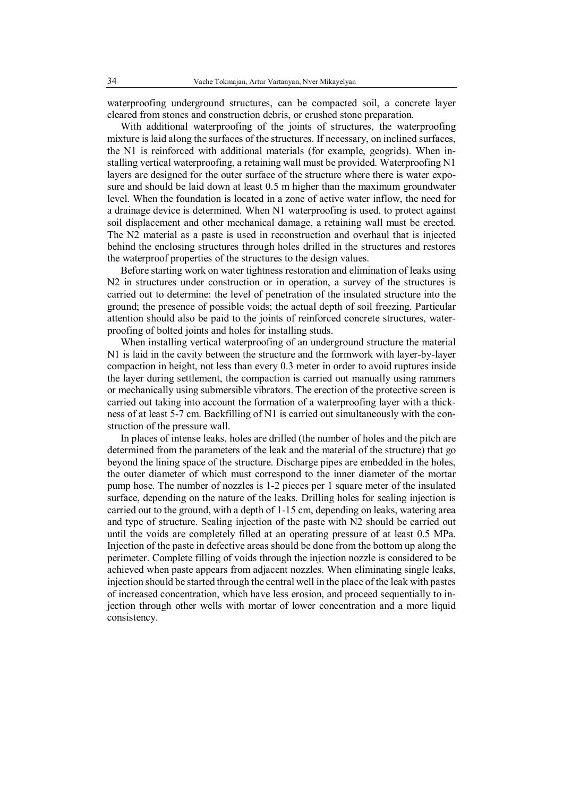waterproofing underground structures, can be compacted soil, a concrete layer cleared from stones and construction debris, or crushed stone preparation.

With additional waterproofing of the joints of structures, the waterproofing mixture is laid along the surfaces of the structures. If necessary, on inclined surfaces, the N1 is reinforced with additional materials (for example, geogrids). When installing vertical waterproofing, a retaining wall must be provided. Waterproofing N1 layers are designed for the outer surface of the structure where there is water exposure and should be laid down at least 0.5 m higher than the maximum groundwater level. When the foundation is located in a zone of active water inflow, the need for a drainage device is determined. When N1 waterproofing is used, to protect against soil displacement and other mechanical damage, a retaining wall must be erected. The N2 material as a paste is used in reconstruction and overhaul that is injected behind the enclosing structures through holes drilled in the structures and restores the waterproof properties of the structures to the design values.

Before starting work on water tightness restoration and elimination of leaks using N2 in structures under construction or in operation, a survey of the structures is carried out to determine: the level of penetration of the insulated structure into the ground; the presence of possible voids; the actual depth of soil freezing. Particular attention should also be paid to the joints of reinforced concrete structures, waterproofing of bolted joints and holes for installing studs.

When installing vertical waterproofing of an underground structure the material N1 is laid in the cavity between the structure and the formwork with layer-by-layer compaction in height, not less than every 0.3 meter in order to avoid ruptures inside the layer during settlement, the compaction is carried out manually using rammers or mechanically using submersible vibrators. The erection of the protective screen is carried out taking into account the formation of a waterproofing layer with a thickness of at least 5-7 cm. Backfilling of N1 is carried out simultaneously with the construction of the pressure wall.

In places of intense leaks, holes are drilled (the number of holes and the pitch are determined from the parameters of the leak and the material of the structure) that go beyond the lining space of the structure. Discharge pipes are embedded in the holes, the outer diameter of which must correspond to the inner diameter of the mortar pump hose. The number of nozzles is 1-2 pieces per 1 square meter of the insulated surface, depending on the nature of the leaks. Drilling holes for sealing injection is carried out to the ground, with a depth of 1-15 cm, depending on leaks, watering area and type of structure. Sealing injection of the paste with N2 should be carried out until the voids are completely filled at an operating pressure of at least 0.5 MPa. Injection of the paste in defective areas should be done from the bottom up along the perimeter. Complete filling of voids through the injection nozzle is considered to be achieved when paste appears from adjacent nozzles. When eliminating single leaks, injection should be started through the central well in the place of the leak with pastes of increased concentration, which have less erosion, and proceed sequentially to injection through other wells with mortar of lower concentration and a more liquid consistency.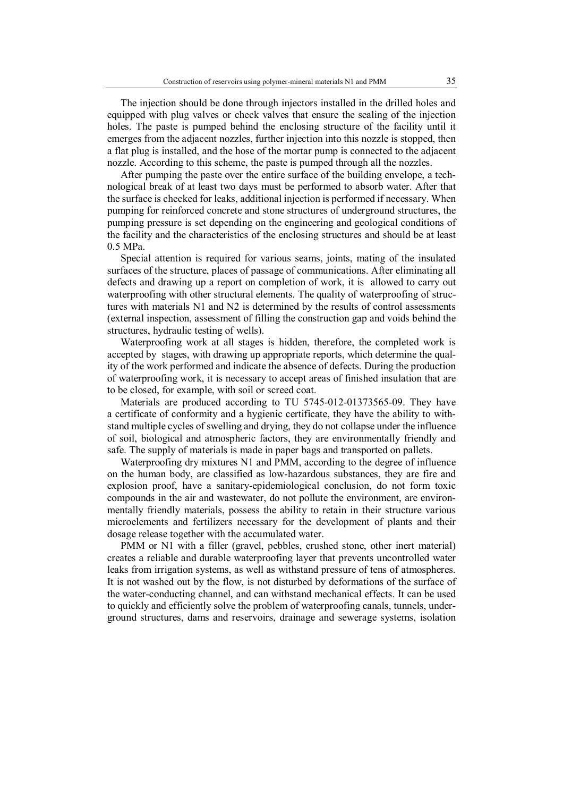The injection should be done through injectors installed in the drilled holes and equipped with plug valves or check valves that ensure the sealing of the injection holes. The paste is pumped behind the enclosing structure of the facility until it emerges from the adjacent nozzles, further injection into this nozzle is stopped, then a flat plug is installed, and the hose of the mortar pump is connected to the adjacent nozzle. According to this scheme, the paste is pumped through all the nozzles.

After pumping the paste over the entire surface of the building envelope, a technological break of at least two days must be performed to absorb water. After that the surface is checked for leaks, additional injection is performed if necessary. When pumping for reinforced concrete and stone structures of underground structures, the pumping pressure is set depending on the engineering and geological conditions of the facility and the characteristics of the enclosing structures and should be at least 0.5 MPa.

Special attention is required for various seams, joints, mating of the insulated surfaces of the structure, places of passage of communications. After eliminating all defects and drawing up a report on completion of work, it is allowed to carry out waterproofing with other structural elements. The quality of waterproofing of structures with materials N1 and N2 is determined by the results of control assessments (external inspection, assessment of filling the construction gap and voids behind the structures, hydraulic testing of wells).

Waterproofing work at all stages is hidden, therefore, the completed work is accepted by stages, with drawing up appropriate reports, which determine the quality of the work performed and indicate the absence of defects. During the production of waterproofing work, it is necessary to accept areas of finished insulation that are to be closed, for example, with soil or screed coat.

Materials are produced according to TU 5745-012-01373565-09. They have a certificate of conformity and a hygienic certificate, they have the ability to withstand multiple cycles of swelling and drying, they do not collapse under the influence of soil, biological and atmospheric factors, they are environmentally friendly and safe. The supply of materials is made in paper bags and transported on pallets.

Waterproofing dry mixtures N1 and PMM, according to the degree of influence on the human body, are classified as low-hazardous substances, they are fire and explosion proof, have a sanitary-epidemiological conclusion, do not form toxic compounds in the air and wastewater, do not pollute the environment, are environmentally friendly materials, possess the ability to retain in their structure various microelements and fertilizers necessary for the development of plants and their dosage release together with the accumulated water.

PMM or N1 with a filler (gravel, pebbles, crushed stone, other inert material) creates a reliable and durable waterproofing layer that prevents uncontrolled water leaks from irrigation systems, as well as withstand pressure of tens of atmospheres. It is not washed out by the flow, is not disturbed by deformations of the surface of the water-conducting channel, and can withstand mechanical effects. It can be used to quickly and efficiently solve the problem of waterproofing canals, tunnels, underground structures, dams and reservoirs, drainage and sewerage systems, isolation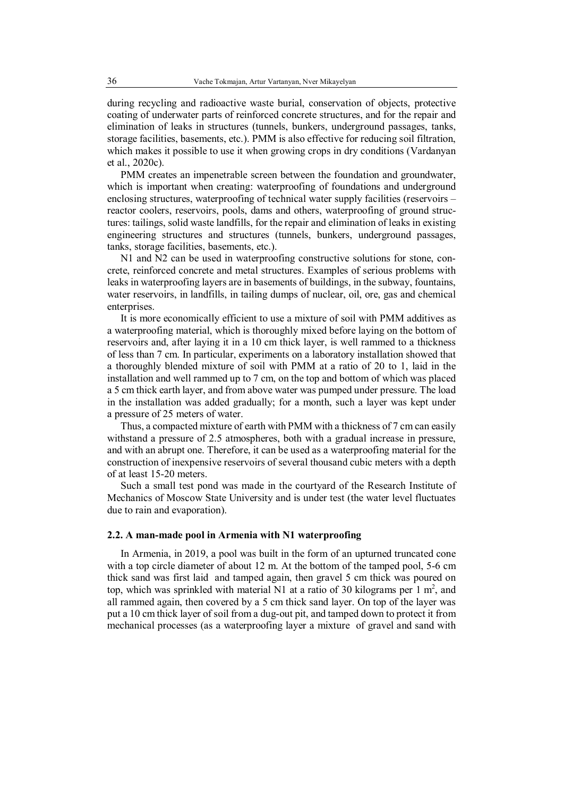during recycling and radioactive waste burial, conservation of objects, protective coating of underwater parts of reinforced concrete structures, and for the repair and elimination of leaks in structures (tunnels, bunkers, underground passages, tanks, storage facilities, basements, etc.). PMM is also effective for reducing soil filtration, which makes it possible to use it when growing crops in dry conditions (Vardanyan et al., 2020c).

PMM creates an impenetrable screen between the foundation and groundwater, which is important when creating: waterproofing of foundations and underground enclosing structures, waterproofing of technical water supply facilities (reservoirs – reactor coolers, reservoirs, pools, dams and others, waterproofing of ground structures: tailings, solid waste landfills, for the repair and elimination of leaks in existing engineering structures and structures (tunnels, bunkers, underground passages, tanks, storage facilities, basements, etc.).

N1 and N2 can be used in waterproofing constructive solutions for stone, concrete, reinforced concrete and metal structures. Examples of serious problems with leaks in waterproofing layers are in basements of buildings, in the subway, fountains, water reservoirs, in landfills, in tailing dumps of nuclear, oil, ore, gas and chemical enterprises.

It is more economically efficient to use a mixture of soil with PMM additives as a waterproofing material, which is thoroughly mixed before laying on the bottom of reservoirs and, after laying it in a 10 cm thick layer, is well rammed to a thickness of less than 7 cm. In particular, experiments on a laboratory installation showed that a thoroughly blended mixture of soil with PMM at a ratio of 20 to 1, laid in the installation and well rammed up to 7 cm, on the top and bottom of which was placed a 5 cm thick earth layer, and from above water was pumped under pressure. The load in the installation was added gradually; for a month, such a layer was kept under a pressure of 25 meters of water.

Thus, a compacted mixture of earth with PMM with a thickness of 7 cm can easily withstand a pressure of 2.5 atmospheres, both with a gradual increase in pressure, and with an abrupt one. Therefore, it can be used as a waterproofing material for the construction of inexpensive reservoirs of several thousand cubic meters with a depth of at least 15-20 meters.

Such a small test pond was made in the courtyard of the Research Institute of Mechanics of Moscow State University and is under test (the water level fluctuates due to rain and evaporation).

#### **2.2. A man-made pool in Armenia with N1 waterproofing**

In Armenia, in 2019, a pool was built in the form of an upturned truncated cone with a top circle diameter of about 12 m. At the bottom of the tamped pool, 5-6 cm thick sand was first laid and tamped again, then gravel 5 cm thick was poured on top, which was sprinkled with material N1 at a ratio of 30 kilograms per 1  $m^2$ , and all rammed again, then covered by a 5 cm thick sand layer. On top of the layer was put a 10 cm thick layer of soil from a dug-out pit, and tamped down to protect it from mechanical processes (as a waterproofing layer a mixture of gravel and sand with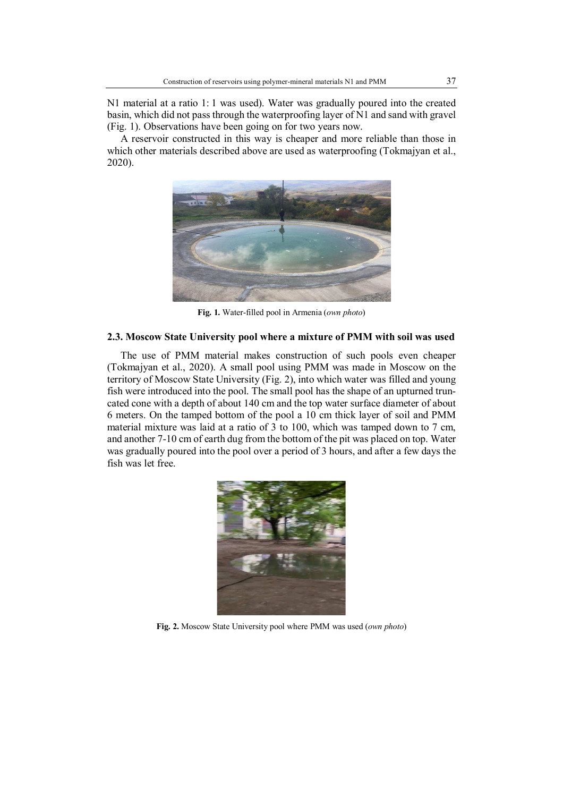N1 material at a ratio 1: 1 was used). Water was gradually poured into the created basin, which did not pass through the waterproofing layer of N1 and sand with gravel (Fig. 1). Observations have been going on for two years now.

A reservoir constructed in this way is cheaper and more reliable than those in which other materials described above are used as waterproofing (Tokmajyan et al., 2020).



**Fig. 1.** Water-filled pool in Armenia (*own photo*)

### **2.3. Moscow State University pool where a mixture of PMM with soil was used**

The use of PMM material makes construction of such pools even cheaper (Tokmajyan et al., 2020). A small pool using PMM was made in Moscow on the territory of Moscow State University (Fig. 2), into which water was filled and young fish were introduced into the pool. The small pool has the shape of an upturned truncated cone with a depth of about 140 cm and the top water surface diameter of about 6 meters. On the tamped bottom of the pool a 10 cm thick layer of soil and PMM material mixture was laid at a ratio of 3 to 100, which was tamped down to 7 cm, and another 7-10 cm of earth dug from the bottom of the pit was placed on top. Water was gradually poured into the pool over a period of 3 hours, and after a few days the fish was let free.



**Fig. 2.** Moscow State University pool where PMM was used (*own photo*)